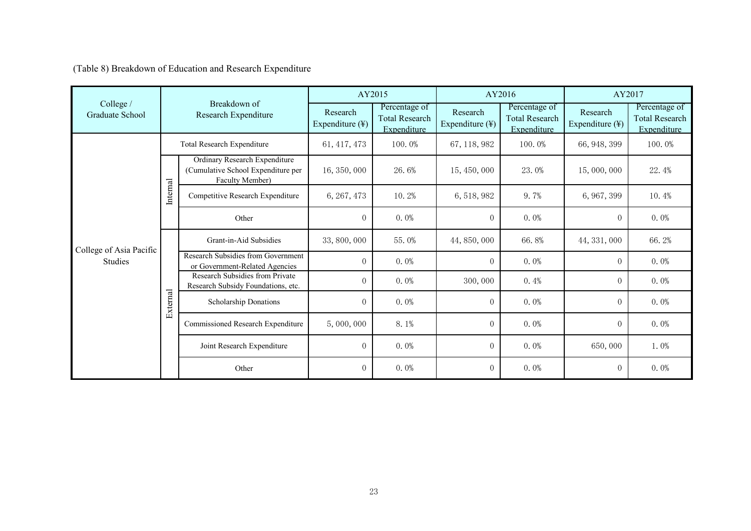(Table 8) Breakdown of Education and Research Expenditure

|                              | Breakdown of<br>Research Expenditure |                                                                                        | AY2015                      |                                                       | AY2016                      |                                                       | AY2017                                  |                                                       |
|------------------------------|--------------------------------------|----------------------------------------------------------------------------------------|-----------------------------|-------------------------------------------------------|-----------------------------|-------------------------------------------------------|-----------------------------------------|-------------------------------------------------------|
| College /<br>Graduate School |                                      |                                                                                        | Research<br>Expenditure (¥) | Percentage of<br><b>Total Research</b><br>Expenditure | Research<br>Expenditure (¥) | Percentage of<br><b>Total Research</b><br>Expenditure | Research<br>Expenditure $(\frac{1}{2})$ | Percentage of<br><b>Total Research</b><br>Expenditure |
|                              | Total Research Expenditure           |                                                                                        | 61, 417, 473                | 100.0%                                                | 67, 118, 982                | 100.0%                                                | 66, 948, 399                            | 100.0%                                                |
|                              | Internal                             | Ordinary Research Expenditure<br>(Cumulative School Expenditure per<br>Faculty Member) | 16, 350, 000                | 26.6%                                                 | 15, 450, 000                | 23.0%                                                 | 15,000,000                              | 22.4%                                                 |
|                              |                                      | Competitive Research Expenditure                                                       | 6, 267, 473                 | 10.2%                                                 | 6, 518, 982                 | $9.7\%$                                               | 6, 967, 399                             | 10.4%                                                 |
| College of Asia Pacific      |                                      | Other                                                                                  | $\overline{0}$              | $0.0\%$                                               | $\overline{0}$              | $0.0\%$                                               | $\overline{0}$                          | $0.0\%$                                               |
|                              | External                             | Grant-in-Aid Subsidies                                                                 | 33, 800, 000                | 55.0%                                                 | 44, 850, 000                | 66.8%                                                 | 44, 331, 000                            | 66.2%                                                 |
| <b>Studies</b>               |                                      | Research Subsidies from Government<br>or Government-Related Agencies                   | $\overline{0}$              | $0.0\%$                                               | $\overline{0}$              | $0.0\%$                                               | $\overline{0}$                          | $0.0\%$                                               |
|                              |                                      | Research Subsidies from Private<br>Research Subsidy Foundations, etc.                  | $\overline{0}$              | $0.0\%$                                               | 300,000                     | 0.4%                                                  | $\overline{0}$                          | $0.0\%$                                               |
|                              |                                      | Scholarship Donations                                                                  | $\overline{0}$              | $0.0\%$                                               | $\overline{0}$              | $0.0\%$                                               | $\overline{0}$                          | $0.0\%$                                               |
|                              |                                      | Commissioned Research Expenditure                                                      | 5,000,000                   | 8.1%                                                  | $\Omega$                    | $0.0\%$                                               | $\overline{0}$                          | $0.0\%$                                               |
|                              |                                      | Joint Research Expenditure                                                             | $\overline{0}$              | $0.0\%$                                               | $\overline{0}$              | $0.0\%$                                               | 650,000                                 | $1.0\%$                                               |
|                              |                                      | Other                                                                                  | $\overline{0}$              | $0.0\%$                                               | $\overline{0}$              | $0.0\%$                                               | $\overline{0}$                          | $0.0\%$                                               |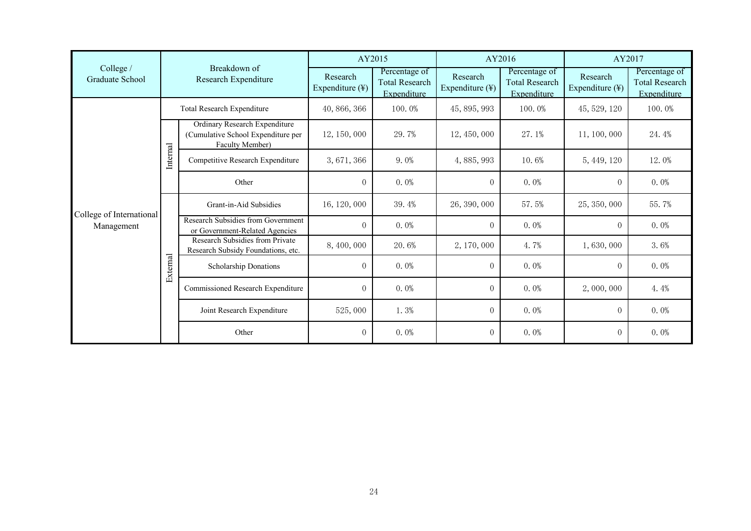|                              | Breakdown of<br>Research Expenditure |                                                                                               | AY2015                      |                                                       | AY2016                      |                                                       | AY2017                                  |                                                       |
|------------------------------|--------------------------------------|-----------------------------------------------------------------------------------------------|-----------------------------|-------------------------------------------------------|-----------------------------|-------------------------------------------------------|-----------------------------------------|-------------------------------------------------------|
| College /<br>Graduate School |                                      |                                                                                               | Research<br>Expenditure (¥) | Percentage of<br><b>Total Research</b><br>Expenditure | Research<br>Expenditure (¥) | Percentage of<br><b>Total Research</b><br>Expenditure | Research<br>Expenditure $(\frac{1}{2})$ | Percentage of<br><b>Total Research</b><br>Expenditure |
|                              | Total Research Expenditure           |                                                                                               | 40, 866, 366                | 100.0%                                                | 45, 895, 993                | 100.0%                                                | 45, 529, 120                            | 100.0%                                                |
|                              | Internal                             | <b>Ordinary Research Expenditure</b><br>(Cumulative School Expenditure per<br>Faculty Member) | 12, 150, 000                | 29.7%                                                 | 12, 450, 000                | 27.1%                                                 | 11, 100, 000                            | 24.4%                                                 |
|                              |                                      | Competitive Research Expenditure                                                              | 3,671,366                   | $9.0\%$                                               | 4,885,993                   | 10.6%                                                 | 5, 449, 120                             | 12.0%                                                 |
| College of International     |                                      | Other                                                                                         | $\overline{0}$              | $0.0\%$                                               | $\theta$                    | $0.0\%$                                               | $\overline{0}$                          | $0.0\%$                                               |
|                              | External                             | Grant-in-Aid Subsidies                                                                        | 16, 120, 000                | 39.4%                                                 | 26, 390, 000                | 57.5%                                                 | 25, 350, 000                            | 55.7%                                                 |
| Management                   |                                      | Research Subsidies from Government<br>or Government-Related Agencies                          | $\Omega$                    | $0.0\%$                                               | $\Omega$                    | $0.0\%$                                               | $\Omega$                                | $0.0\%$                                               |
|                              |                                      | Research Subsidies from Private<br>Research Subsidy Foundations, etc.                         | 8,400,000                   | 20.6%                                                 | 2, 170, 000                 | $4.7\%$                                               | 1,630,000                               | 3.6%                                                  |
|                              |                                      | Scholarship Donations                                                                         | $\overline{0}$              | $0.0\%$                                               | $\overline{0}$              | $0.0\%$                                               | $\overline{0}$                          | $0.0\%$                                               |
|                              |                                      | Commissioned Research Expenditure                                                             | $\overline{0}$              | $0.0\%$                                               | $\Omega$                    | $0.0\%$                                               | 2,000,000                               | 4.4%                                                  |
|                              |                                      | Joint Research Expenditure                                                                    | 525,000                     | $1.3\%$                                               | $\overline{0}$              | $0.0\%$                                               | $\overline{0}$                          | $0.0\%$                                               |
|                              |                                      | Other                                                                                         | $\overline{0}$              | $0.0\%$                                               | $\overline{0}$              | $0.0\%$                                               | $\overline{0}$                          | $0.0\%$                                               |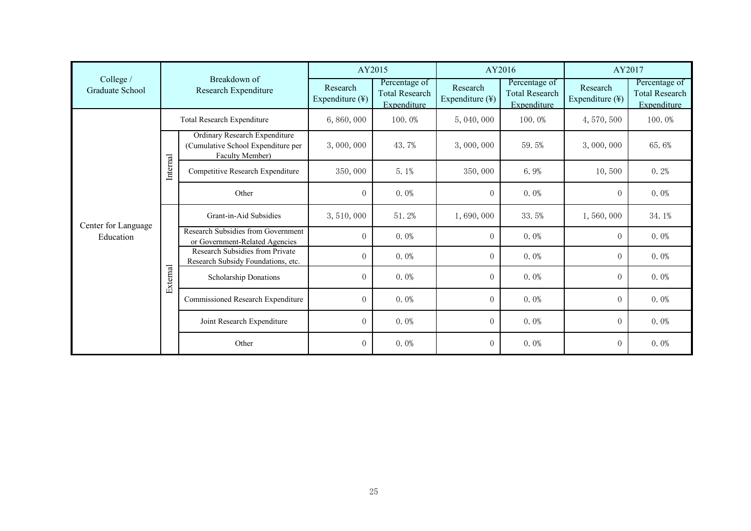|                                  | Breakdown of<br>Research Expenditure |                                                                                               | AY2015                      |                                                              | AY2016                      |                                                       | AY2017                                  |                                                       |
|----------------------------------|--------------------------------------|-----------------------------------------------------------------------------------------------|-----------------------------|--------------------------------------------------------------|-----------------------------|-------------------------------------------------------|-----------------------------------------|-------------------------------------------------------|
| College /<br>Graduate School     |                                      |                                                                                               | Research<br>Expenditure (¥) | Percentage of<br><b>Total Research</b><br><b>Expenditure</b> | Research<br>Expenditure (¥) | Percentage of<br><b>Total Research</b><br>Expenditure | Research<br>Expenditure $(\frac{1}{2})$ | Percentage of<br><b>Total Research</b><br>Expenditure |
|                                  | Total Research Expenditure           |                                                                                               | 6,860,000                   | 100.0%                                                       | 5,040,000                   | 100.0%                                                | 4, 570, 500                             | 100.0%                                                |
|                                  | Internal                             | <b>Ordinary Research Expenditure</b><br>(Cumulative School Expenditure per<br>Faculty Member) | 3,000,000                   | 43.7%                                                        | 3,000,000                   | 59.5%                                                 | 3,000,000                               | 65.6%                                                 |
|                                  |                                      | Competitive Research Expenditure                                                              | 350,000                     | 5.1%                                                         | 350,000                     | 6.9%                                                  | 10,500                                  | 0.2%                                                  |
|                                  |                                      | Other                                                                                         | $\overline{0}$              | $0.0\%$                                                      | $\overline{0}$              | $0.0\%$                                               | $\overline{0}$                          | $0.0\%$                                               |
|                                  | External                             | Grant-in-Aid Subsidies                                                                        | 3, 510, 000                 | 51.2%                                                        | 1,690,000                   | 33.5%                                                 | 1,560,000                               | 34.1%                                                 |
| Center for Language<br>Education |                                      | Research Subsidies from Government<br>or Government-Related Agencies                          | $\overline{0}$              | $0.0\%$                                                      | $\theta$                    | $0.0\%$                                               | $\overline{0}$                          | $0.0\%$                                               |
|                                  |                                      | Research Subsidies from Private<br>Research Subsidy Foundations, etc.                         | $\overline{0}$              | $0.0\%$                                                      | $\theta$                    | $0.0\%$                                               | $\overline{0}$                          | $0.0\%$                                               |
|                                  |                                      | Scholarship Donations                                                                         | $\Omega$                    | $0.0\%$                                                      | $\theta$                    | $0.0\%$                                               | $\overline{0}$                          | $0.0\%$                                               |
|                                  |                                      | Commissioned Research Expenditure                                                             | $\overline{0}$              | $0.0\%$                                                      | $\theta$                    | $0.0\%$                                               | $\overline{0}$                          | $0.0\%$                                               |
|                                  |                                      | Joint Research Expenditure                                                                    | $\overline{0}$              | $0.0\%$                                                      | $\theta$                    | $0.0\%$                                               | $\Omega$                                | $0.0\%$                                               |
|                                  |                                      | Other                                                                                         | $\overline{0}$              | $0.0\%$                                                      | $\boldsymbol{0}$            | $0.0\%$                                               | $\overline{0}$                          | $0.0\%$                                               |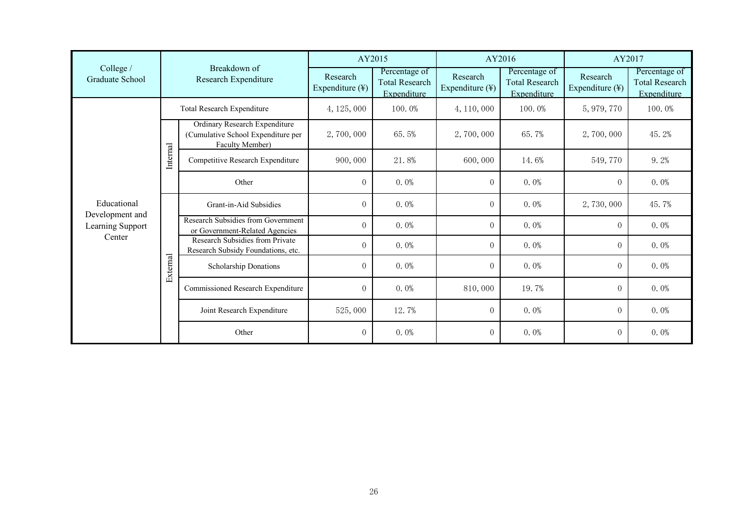|                                     |                                      |                                                                                               | AY2015                      |                                                       | AY2016                                  |                                                       | AY2017                      |                                                       |
|-------------------------------------|--------------------------------------|-----------------------------------------------------------------------------------------------|-----------------------------|-------------------------------------------------------|-----------------------------------------|-------------------------------------------------------|-----------------------------|-------------------------------------------------------|
| College /<br>Graduate School        | Breakdown of<br>Research Expenditure |                                                                                               | Research<br>Expenditure (¥) | Percentage of<br><b>Total Research</b><br>Expenditure | Research<br>Expenditure $(\frac{1}{2})$ | Percentage of<br><b>Total Research</b><br>Expenditure | Research<br>Expenditure (¥) | Percentage of<br><b>Total Research</b><br>Expenditure |
|                                     |                                      | Total Research Expenditure                                                                    | 4, 125, 000                 | 100.0%                                                | 4, 110, 000                             | 100.0%                                                | 5, 979, 770                 | 100.0%                                                |
| Educational                         | Internal                             | <b>Ordinary Research Expenditure</b><br>(Cumulative School Expenditure per<br>Faculty Member) | 2,700,000                   | 65.5%                                                 | 2,700,000                               | 65.7%                                                 | 2,700,000                   | 45.2%                                                 |
|                                     |                                      | Competitive Research Expenditure                                                              | 900,000                     | 21.8%                                                 | 600,000                                 | 14.6%                                                 | 549,770                     | 9.2%                                                  |
|                                     |                                      | Other                                                                                         | $\overline{0}$              | $0.0\%$                                               | $\overline{0}$                          | $0.0\%$                                               | $\overline{0}$              | $0.0\%$                                               |
|                                     | External                             | Grant-in-Aid Subsidies                                                                        | $\Omega$                    | $0.0\%$                                               | $\overline{0}$                          | $0.0\%$                                               | 2,730,000                   | 45.7%                                                 |
| Development and<br>Learning Support |                                      | Research Subsidies from Government<br>or Government-Related Agencies                          | $\overline{0}$              | $0.0\%$                                               | $\overline{0}$                          | $0.0\%$                                               | $\overline{0}$              | $0.0\%$                                               |
| Center                              |                                      | Research Subsidies from Private<br>Research Subsidy Foundations, etc.                         | $\overline{0}$              | $0.0\%$                                               | $\overline{0}$                          | $0.0\%$                                               | $\overline{0}$              | $0.0\%$                                               |
|                                     |                                      | Scholarship Donations                                                                         | $\Omega$                    | $0.0\%$                                               | $\overline{0}$                          | $0.0\%$                                               | $\Omega$                    | $0.0\%$                                               |
|                                     |                                      | Commissioned Research Expenditure                                                             | $\overline{0}$              | $0.0\%$                                               | 810,000                                 | 19.7%                                                 | $\overline{0}$              | $0.0\%$                                               |
|                                     |                                      | Joint Research Expenditure                                                                    | 525,000                     | 12.7%                                                 | $\overline{0}$                          | $0.0\%$                                               | $\overline{0}$              | $0.0\%$                                               |
|                                     |                                      | Other                                                                                         | $\overline{0}$              | $0.0\%$                                               | $\overline{0}$                          | $0.0\%$                                               | $\overline{0}$              | $0.0\%$                                               |